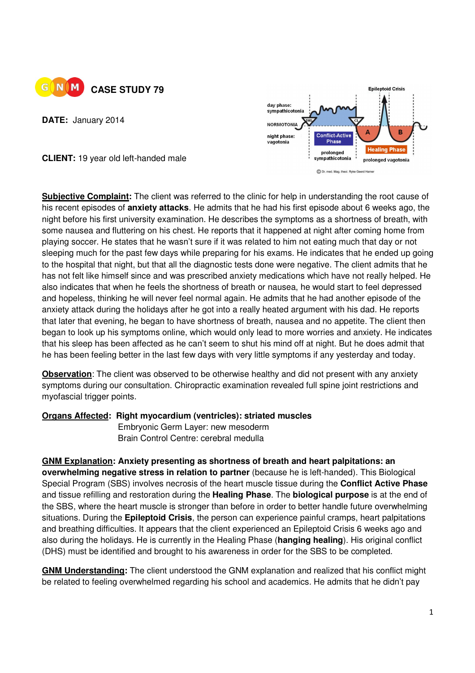

**DATE:** January 2014

**CLIENT:** 19 year old left-handed male



**Subjective Complaint:** The client was referred to the clinic for help in understanding the root cause of his recent episodes of **anxiety attacks**. He admits that he had his first episode about 6 weeks ago, the night before his first university examination. He describes the symptoms as a shortness of breath, with some nausea and fluttering on his chest. He reports that it happened at night after coming home from playing soccer. He states that he wasn't sure if it was related to him not eating much that day or not sleeping much for the past few days while preparing for his exams. He indicates that he ended up going to the hospital that night, but that all the diagnostic tests done were negative. The client admits that he has not felt like himself since and was prescribed anxiety medications which have not really helped. He also indicates that when he feels the shortness of breath or nausea, he would start to feel depressed and hopeless, thinking he will never feel normal again. He admits that he had another episode of the anxiety attack during the holidays after he got into a really heated argument with his dad. He reports that later that evening, he began to have shortness of breath, nausea and no appetite. The client then began to look up his symptoms online, which would only lead to more worries and anxiety. He indicates that his sleep has been affected as he can't seem to shut his mind off at night. But he does admit that he has been feeling better in the last few days with very little symptoms if any yesterday and today.

**Observation**: The client was observed to be otherwise healthy and did not present with any anxiety symptoms during our consultation. Chiropractic examination revealed full spine joint restrictions and myofascial trigger points.

## **Organs Affected: Right myocardium (ventricles): striated muscles**

**Embryonic Germ Layer: new mesoderm** Brain Control Centre: cerebral medulla

**GNM Explanation: Anxiety presenting as shortness of breath and heart palpitations: an overwhelming negative stress in relation to partner** (because he is left-handed). This Biological Special Program (SBS) involves necrosis of the heart muscle tissue during the **Conflict Active Phase** and tissue refilling and restoration during the **Healing Phase**. The **biological purpose** is at the end of the SBS, where the heart muscle is stronger than before in order to better handle future overwhelming situations. During the **Epileptoid Crisis**, the person can experience painful cramps, heart palpitations and breathing difficulties. It appears that the client experienced an Epileptoid Crisis 6 weeks ago and also during the holidays. He is currently in the Healing Phase (**hanging healing**). His original conflict (DHS) must be identified and brought to his awareness in order for the SBS to be completed.

**GNM Understanding:** The client understood the GNM explanation and realized that his conflict might be related to feeling overwhelmed regarding his school and academics. He admits that he didn't pay